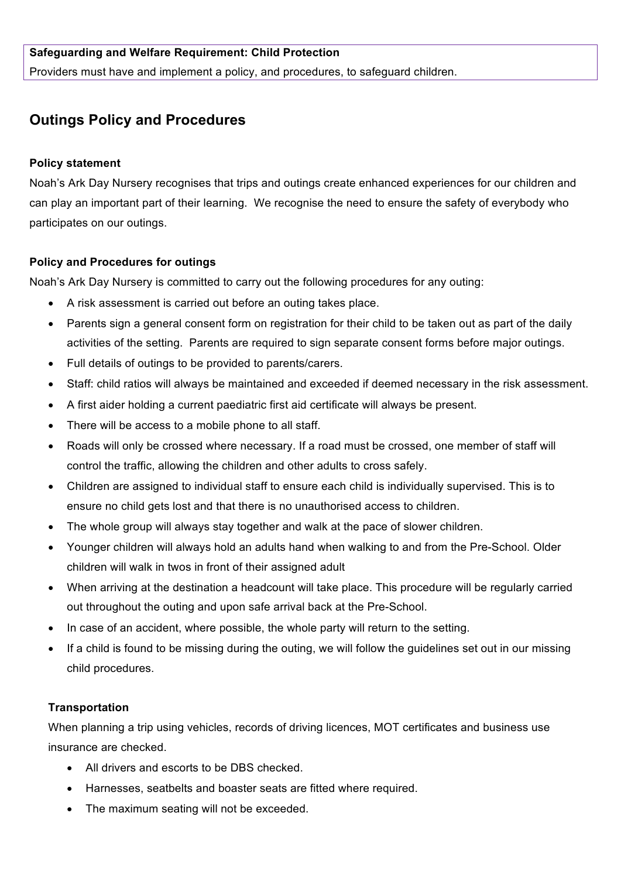## **Safeguarding and Welfare Requirement: Child Protection**

Providers must have and implement a policy, and procedures, to safeguard children.

# **Outings Policy and Procedures**

#### **Policy statement**

Noah's Ark Day Nursery recognises that trips and outings create enhanced experiences for our children and can play an important part of their learning. We recognise the need to ensure the safety of everybody who participates on our outings.

#### **Policy and Procedures for outings**

Noah's Ark Day Nursery is committed to carry out the following procedures for any outing:

- A risk assessment is carried out before an outing takes place.
- Parents sign a general consent form on registration for their child to be taken out as part of the daily activities of the setting. Parents are required to sign separate consent forms before major outings.
- Full details of outings to be provided to parents/carers.
- Staff: child ratios will always be maintained and exceeded if deemed necessary in the risk assessment.
- A first aider holding a current paediatric first aid certificate will always be present.
- There will be access to a mobile phone to all staff.
- Roads will only be crossed where necessary. If a road must be crossed, one member of staff will control the traffic, allowing the children and other adults to cross safely.
- Children are assigned to individual staff to ensure each child is individually supervised. This is to ensure no child gets lost and that there is no unauthorised access to children.
- The whole group will always stay together and walk at the pace of slower children.
- Younger children will always hold an adults hand when walking to and from the Pre-School. Older children will walk in twos in front of their assigned adult
- When arriving at the destination a headcount will take place. This procedure will be regularly carried out throughout the outing and upon safe arrival back at the Pre-School.
- In case of an accident, where possible, the whole party will return to the setting.
- If a child is found to be missing during the outing, we will follow the guidelines set out in our missing child procedures.

#### **Transportation**

When planning a trip using vehicles, records of driving licences, MOT certificates and business use insurance are checked.

- All drivers and escorts to be DBS checked.
- Harnesses, seatbelts and boaster seats are fitted where required.
- The maximum seating will not be exceeded.